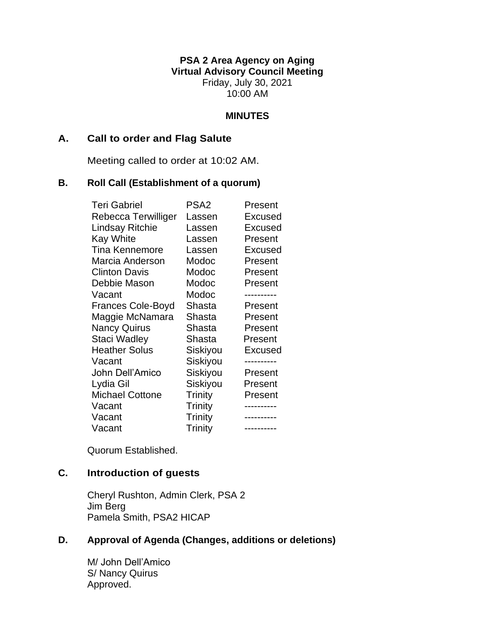**PSA 2 Area Agency on Aging Virtual Advisory Council Meeting** Friday, July 30, 2021 10:00 AM

#### **MINUTES**

#### **A. Call to order and Flag Salute**

Meeting called to order at 10:02 AM.

#### **B. Roll Call (Establishment of a quorum)**

| <b>Teri Gabriel</b>      | PSA <sub>2</sub> | Present        |
|--------------------------|------------------|----------------|
| Rebecca Terwilliger      | Lassen           | Excused        |
| Lindsay Ritchie          | Lassen           | Excused        |
| <b>Kay White</b>         | Lassen           | Present        |
| <b>Tina Kennemore</b>    | Lassen           | <b>Excused</b> |
| Marcia Anderson          | Modoc            | Present        |
| <b>Clinton Davis</b>     | Modoc            | Present        |
| Debbie Mason             | Modoc            | Present        |
| Vacant                   | Modoc            |                |
| <b>Frances Cole-Boyd</b> | Shasta           | Present        |
| Maggie McNamara          | Shasta           | Present        |
| <b>Nancy Quirus</b>      | Shasta           | Present        |
| Staci Wadley             | Shasta           | Present        |
| <b>Heather Solus</b>     | Siskiyou         | Excused        |
| Vacant                   | Siskiyou         |                |
| John Dell'Amico          | Siskiyou         | Present        |
| Lydia Gil                | Siskiyou         | Present        |
| <b>Michael Cottone</b>   | Trinity          | Present        |
| Vacant                   | Trinity          |                |
| Vacant                   | Trinity          |                |
| Vacant                   | Trinity          | ----------     |

Quorum Established.

# **C. Introduction of guests**

Cheryl Rushton, Admin Clerk, PSA 2 Jim Berg Pamela Smith, PSA2 HICAP

### **D. Approval of Agenda (Changes, additions or deletions)**

M/ John Dell'Amico S/ Nancy Quirus Approved.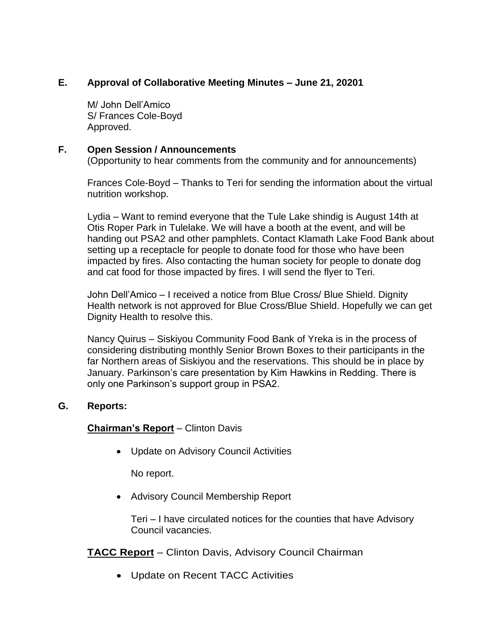# **E. Approval of Collaborative Meeting Minutes – June 21, 20201**

M/ John Dell'Amico S/ Frances Cole-Boyd Approved.

### **F. Open Session / Announcements**

(Opportunity to hear comments from the community and for announcements)

Frances Cole-Boyd – Thanks to Teri for sending the information about the virtual nutrition workshop.

Lydia – Want to remind everyone that the Tule Lake shindig is August 14th at Otis Roper Park in Tulelake. We will have a booth at the event, and will be handing out PSA2 and other pamphlets. Contact Klamath Lake Food Bank about setting up a receptacle for people to donate food for those who have been impacted by fires. Also contacting the human society for people to donate dog and cat food for those impacted by fires. I will send the flyer to Teri.

John Dell'Amico – I received a notice from Blue Cross/ Blue Shield. Dignity Health network is not approved for Blue Cross/Blue Shield. Hopefully we can get Dignity Health to resolve this.

Nancy Quirus – Siskiyou Community Food Bank of Yreka is in the process of considering distributing monthly Senior Brown Boxes to their participants in the far Northern areas of Siskiyou and the reservations. This should be in place by January. Parkinson's care presentation by Kim Hawkins in Redding. There is only one Parkinson's support group in PSA2.

# **G. Reports:**

# **Chairman's Report** – Clinton Davis

• Update on Advisory Council Activities

No report.

• Advisory Council Membership Report

Teri – I have circulated notices for the counties that have Advisory Council vacancies.

# **TACC Report** – Clinton Davis, Advisory Council Chairman

• Update on Recent TACC Activities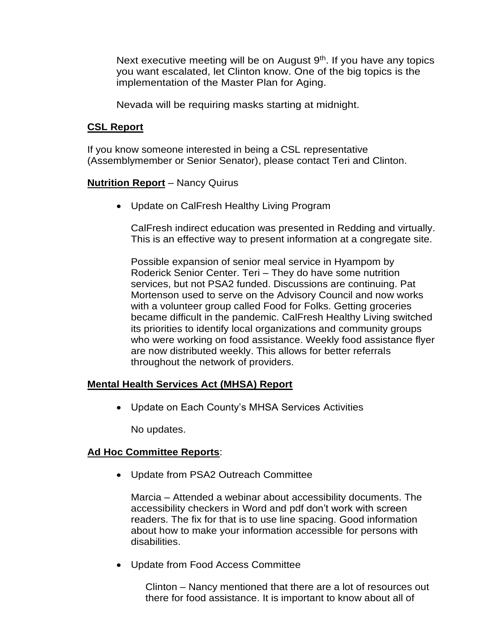Next executive meeting will be on August 9<sup>th</sup>. If you have any topics you want escalated, let Clinton know. One of the big topics is the implementation of the Master Plan for Aging.

Nevada will be requiring masks starting at midnight.

### **CSL Report**

If you know someone interested in being a CSL representative (Assemblymember or Senior Senator), please contact Teri and Clinton.

### **Nutrition Report** – Nancy Quirus

• Update on CalFresh Healthy Living Program

CalFresh indirect education was presented in Redding and virtually. This is an effective way to present information at a congregate site.

Possible expansion of senior meal service in Hyampom by Roderick Senior Center. Teri – They do have some nutrition services, but not PSA2 funded. Discussions are continuing. Pat Mortenson used to serve on the Advisory Council and now works with a volunteer group called Food for Folks. Getting groceries became difficult in the pandemic. CalFresh Healthy Living switched its priorities to identify local organizations and community groups who were working on food assistance. Weekly food assistance flyer are now distributed weekly. This allows for better referrals throughout the network of providers.

### **Mental Health Services Act (MHSA) Report**

• Update on Each County's MHSA Services Activities

No updates.

### **Ad Hoc Committee Reports**:

• Update from PSA2 Outreach Committee

Marcia – Attended a webinar about accessibility documents. The accessibility checkers in Word and pdf don't work with screen readers. The fix for that is to use line spacing. Good information about how to make your information accessible for persons with disabilities.

• Update from Food Access Committee

Clinton – Nancy mentioned that there are a lot of resources out there for food assistance. It is important to know about all of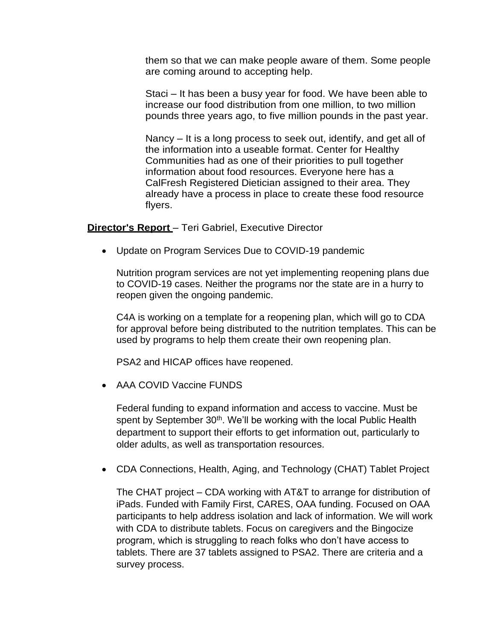them so that we can make people aware of them. Some people are coming around to accepting help.

Staci – It has been a busy year for food. We have been able to increase our food distribution from one million, to two million pounds three years ago, to five million pounds in the past year.

Nancy – It is a long process to seek out, identify, and get all of the information into a useable format. Center for Healthy Communities had as one of their priorities to pull together information about food resources. Everyone here has a CalFresh Registered Dietician assigned to their area. They already have a process in place to create these food resource flyers.

**Director's Report** – Teri Gabriel, Executive Director

• Update on Program Services Due to COVID-19 pandemic

Nutrition program services are not yet implementing reopening plans due to COVID-19 cases. Neither the programs nor the state are in a hurry to reopen given the ongoing pandemic.

C4A is working on a template for a reopening plan, which will go to CDA for approval before being distributed to the nutrition templates. This can be used by programs to help them create their own reopening plan.

PSA2 and HICAP offices have reopened.

• AAA COVID Vaccine FUNDS

Federal funding to expand information and access to vaccine. Must be spent by September 30<sup>th</sup>. We'll be working with the local Public Health department to support their efforts to get information out, particularly to older adults, as well as transportation resources.

• CDA Connections, Health, Aging, and Technology (CHAT) Tablet Project

The CHAT project – CDA working with AT&T to arrange for distribution of iPads. Funded with Family First, CARES, OAA funding. Focused on OAA participants to help address isolation and lack of information. We will work with CDA to distribute tablets. Focus on caregivers and the Bingocize program, which is struggling to reach folks who don't have access to tablets. There are 37 tablets assigned to PSA2. There are criteria and a survey process.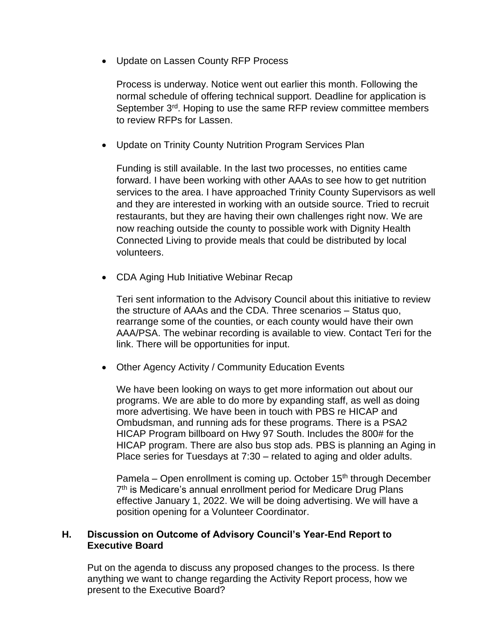• Update on Lassen County RFP Process

Process is underway. Notice went out earlier this month. Following the normal schedule of offering technical support. Deadline for application is September 3<sup>rd</sup>. Hoping to use the same RFP review committee members to review RFPs for Lassen.

• Update on Trinity County Nutrition Program Services Plan

Funding is still available. In the last two processes, no entities came forward. I have been working with other AAAs to see how to get nutrition services to the area. I have approached Trinity County Supervisors as well and they are interested in working with an outside source. Tried to recruit restaurants, but they are having their own challenges right now. We are now reaching outside the county to possible work with Dignity Health Connected Living to provide meals that could be distributed by local volunteers.

• CDA Aging Hub Initiative Webinar Recap

Teri sent information to the Advisory Council about this initiative to review the structure of AAAs and the CDA. Three scenarios – Status quo, rearrange some of the counties, or each county would have their own AAA/PSA. The webinar recording is available to view. Contact Teri for the link. There will be opportunities for input.

• Other Agency Activity / Community Education Events

We have been looking on ways to get more information out about our programs. We are able to do more by expanding staff, as well as doing more advertising. We have been in touch with PBS re HICAP and Ombudsman, and running ads for these programs. There is a PSA2 HICAP Program billboard on Hwy 97 South. Includes the 800# for the HICAP program. There are also bus stop ads. PBS is planning an Aging in Place series for Tuesdays at 7:30 – related to aging and older adults.

Pamela – Open enrollment is coming up. October  $15<sup>th</sup>$  through December 7<sup>th</sup> is Medicare's annual enrollment period for Medicare Drug Plans effective January 1, 2022. We will be doing advertising. We will have a position opening for a Volunteer Coordinator.

### **H. Discussion on Outcome of Advisory Council's Year-End Report to Executive Board**

Put on the agenda to discuss any proposed changes to the process. Is there anything we want to change regarding the Activity Report process, how we present to the Executive Board?